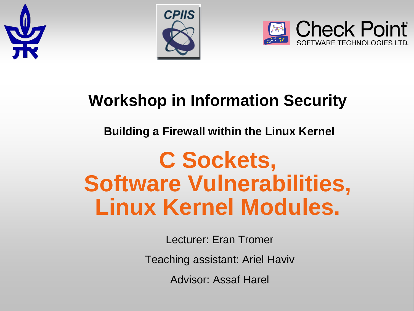





#### **Workshop in Information Security**

#### **Building a Firewall within the Linux Kernel**

# **C Sockets, Software Vulnerabilities, Linux Kernel Modules.**

Lecturer: Eran Tromer

Teaching assistant: Ariel Haviv

Advisor: Assaf Harel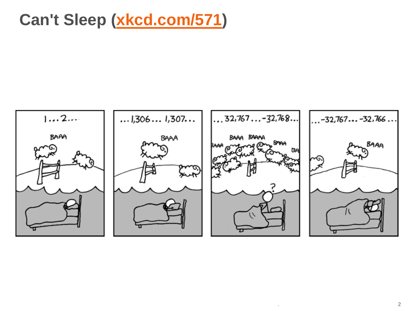#### **Can't Sleep [\(xkcd.com/571](http://xkcd.com/571/))**

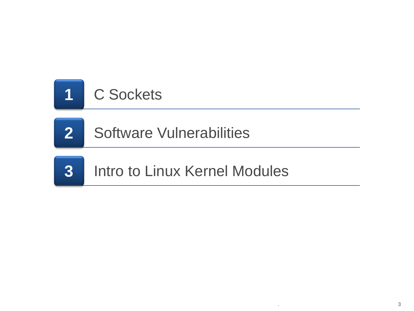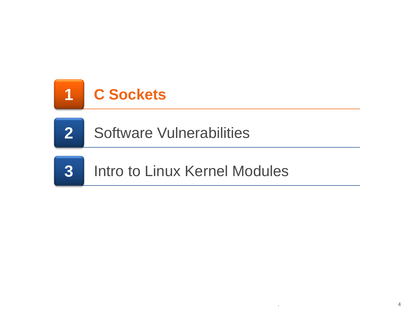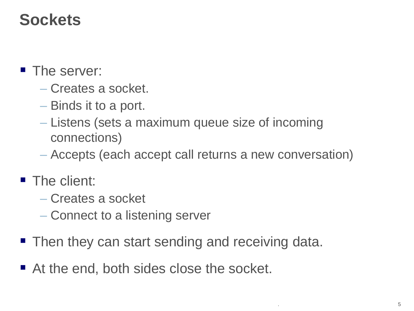#### **Sockets**

- The server:
	- Creates a socket.
	- Binds it to a port.
	- Listens (sets a maximum queue size of incoming connections)
	- Accepts (each accept call returns a new conversation)
- **The client:** 
	- Creates a socket
	- Connect to a listening server
- Then they can start sending and receiving data.
- At the end, both sides close the socket.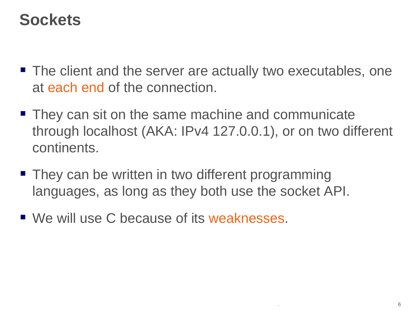#### **Sockets**

- The client and the server are actually two executables, one at each end of the connection.
- They can sit on the same machine and communicate through localhost (AKA: IPv4 127.0.0.1), or on two different continents.
- **They can be written in two different programming** languages, as long as they both use the socket API.
- We will use C because of its weaknesses.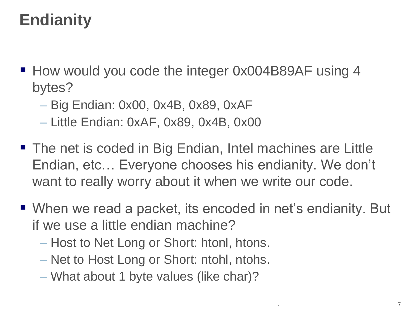# **Endianity**

- How would you code the integer 0x004B89AF using 4 bytes?
	- Big Endian: 0x00, 0x4B, 0x89, 0xAF
	- Little Endian: 0xAF, 0x89, 0x4B, 0x00
- The net is coded in Big Endian, Intel machines are Little Endian, etc… Everyone chooses his endianity. We don't want to really worry about it when we write our code.
- When we read a packet, its encoded in net's endianity. But if we use a little endian machine?
	- Host to Net Long or Short: htonl, htons.
	- Net to Host Long or Short: ntohl, ntohs.
	- What about 1 byte values (like char)?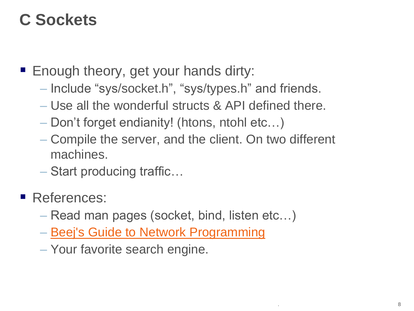### **C Sockets**

- **Enough theory, get your hands dirty:** 
	- Include "sys/socket.h", "sys/types.h" and friends.
	- Use all the wonderful structs & API defined there.
	- Don't forget endianity! (htons, ntohl etc…)
	- Compile the server, and the client. On two different machines.
	- Start producing traffic…
- References:
	- Read man pages (socket, bind, listen etc…)
	- [Beej's](http://beej.us/guide/bgnet/output/html/multipage/index.html) [Guide to Network Programming](http://beej.us/guide/bgnet/output/html/multipage/index.html)
	- Your favorite search engine.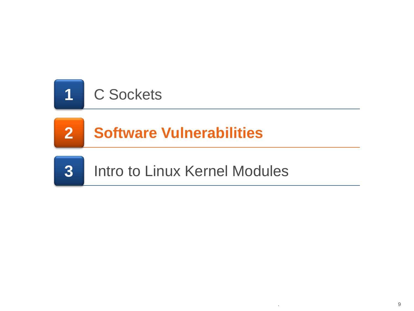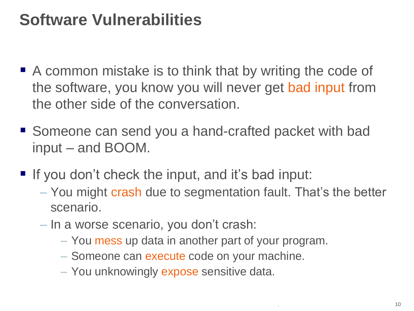- A common mistake is to think that by writing the code of the software, you know you will never get bad input from the other side of the conversation.
- Someone can send you a hand-crafted packet with bad input – and BOOM.
- If you don't check the input, and it's bad input:
	- You might crash due to segmentation fault. That's the better scenario.
	- In a worse scenario, you don't crash:
		- You mess up data in another part of your program.
		- Someone can execute code on your machine.
		- You unknowingly expose sensitive data.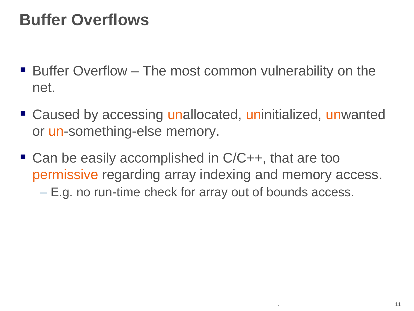#### **Buffer Overflows**

- Buffer Overflow The most common vulnerability on the net.
- Caused by accessing unallocated, uninitialized, unwanted or un-something-else memory.
- Can be easily accomplished in C/C++, that are too permissive regarding array indexing and memory access.
	- E.g. no run-time check for array out of bounds access.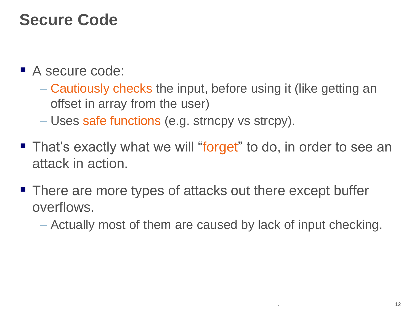#### **Secure Code**

- A secure code:
	- Cautiously checks the input, before using it (like getting an offset in array from the user)
	- Uses safe functions (e.g. strncpy vs strcpy).
- **That's exactly what we will "forget" to do, in order to see an** attack in action.
- There are more types of attacks out there except buffer overflows.
	- Actually most of them are caused by lack of input checking.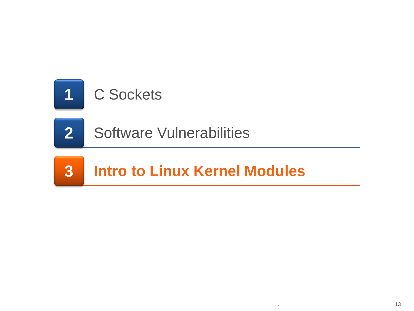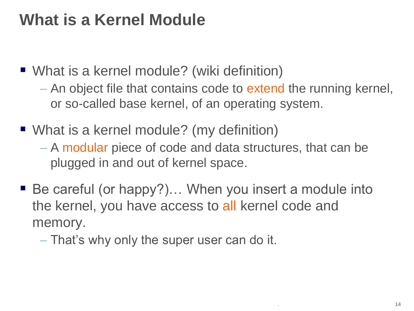## **What is a Kernel Module**

■ What is a kernel module? (wiki definition)

- An object file that contains code to extend the running kernel, or so-called base kernel, of an operating system.
- What is a kernel module? (my definition)
	- A modular piece of code and data structures, that can be plugged in and out of kernel space.
- Be careful (or happy?)... When you insert a module into the kernel, you have access to all kernel code and memory.
	- That's why only the super user can do it.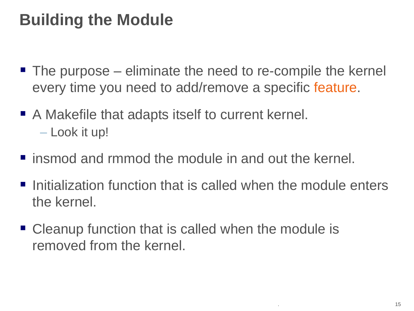## **Building the Module**

- The purpose eliminate the need to re-compile the kernel every time you need to add/remove a specific feature.
- A Makefile that adapts itself to current kernel. – Look it up!
- **F** insmod and rmmod the module in and out the kernel.
- $\blacksquare$  Initialization function that is called when the module enters the kernel.
- Cleanup function that is called when the module is removed from the kernel.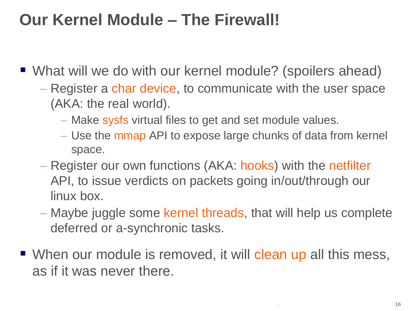#### **Our Kernel Module – The Firewall!**

- What will we do with our kernel module? (spoilers ahead)
	- Register a char device, to communicate with the user space (AKA: the real world).
		- Make sysfs virtual files to get and set module values.
		- Use the mmap API to expose large chunks of data from kernel space.
	- Register our own functions (AKA: hooks) with the netfilter API, to issue verdicts on packets going in/out/through our linux box.
	- Maybe juggle some kernel threads, that will help us complete deferred or a-synchronic tasks.
- When our module is removed, it will clean up all this mess, as if it was never there.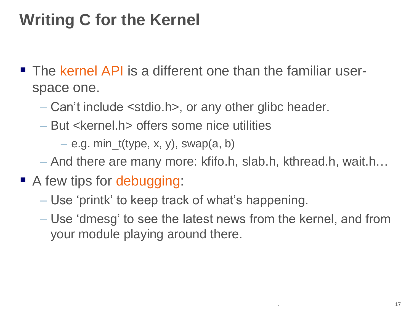# **Writing C for the Kernel**

- **The kernel API is a different one than the familiar user**space one.
	- Can't include <stdio.h>, or any other glibc header.
	- But <kernel.h> offers some nice utilities

 $-$  e.g. min\_t(type, x, y), swap(a, b)

- And there are many more: kfifo.h, slab.h, kthread.h, wait.h…
- A few tips for debugging:
	- Use 'printk' to keep track of what's happening.
	- Use 'dmesg' to see the latest news from the kernel, and from your module playing around there.